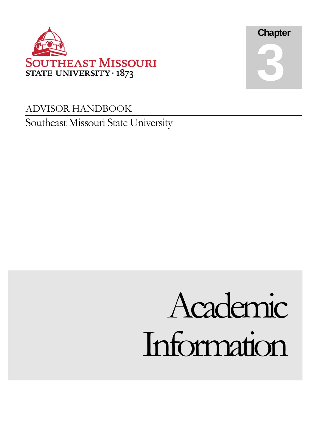



### ADVISOR HANDBOOK Southeast Missouri State University

# Information Academic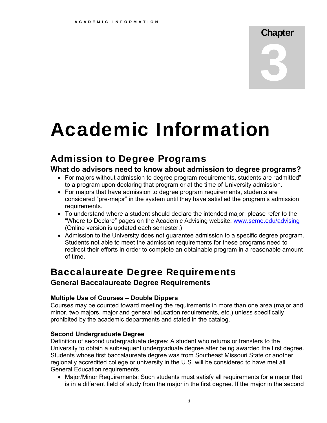## Chapter 3

## Academic Information

### Admission to Degree Programs

### **What do advisors need to know about admission to degree programs?**

- For majors without admission to degree program requirements, students are "admitted" to a program upon declaring that program or at the time of University admission.
- For majors that have admission to degree program requirements, students are considered "pre-major" in the system until they have satisfied the program's admission requirements.
- To understand where a student should declare the intended major, please refer to the "Where to Declare" pages on the Academic Advising website: <www.semo.edu/advising> (Online version is updated each semester.)
- Admission to the University does not guarantee admission to a specific degree program. Students not able to meet the admission requirements for these programs need to redirect their efforts in order to complete an obtainable program in a reasonable amount of time.

### Baccalaureate Degree Requirements

### **General Baccalaureate Degree Requirements**

### **Multiple Use of Courses – Double Dippers**

Courses may be counted toward meeting the requirements in more than one area (major and minor, two majors, major and general education requirements, etc.) unless specifically prohibited by the academic departments and stated in the catalog.

### **Second Undergraduate Degree**

Definition of second undergraduate degree: A student who returns or transfers to the University to obtain a subsequent undergraduate degree after being awarded the first degree. Students whose first baccalaureate degree was from Southeast Missouri State or another regionally accredited college or university in the U.S. will be considered to have met all General Education requirements.

 Major/Minor Requirements: Such students must satisfy all requirements for a major that is in a different field of study from the major in the first degree. If the major in the second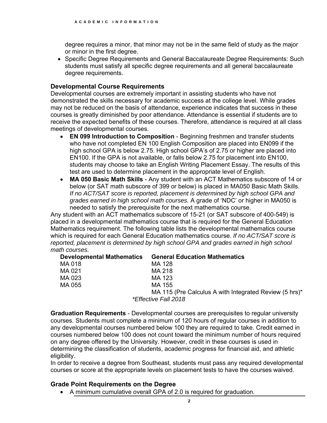degree requires a minor, that minor may not be in the same field of study as the major or minor in the first degree.

• Specific Degree Requirements and General Baccalaureate Degree Requirements: Such students must satisfy all specific degree requirements and all general baccalaureate degree requirements.

#### **Developmental Course Requirements**

Developmental courses are extremely important in assisting students who have not demonstrated the skills necessary for academic success at the college level. While grades may not be reduced on the basis of attendance, experience indicates that success in these courses is greatly diminished by poor attendance. Attendance is essential if students are to receive the expected benefits of these courses. Therefore, attendance is required at all class meetings of developmental courses.

- **EN 099 Introduction to Composition** Beginning freshmen and transfer students who have not completed EN 100 English Composition are placed into EN099 if the high school GPA is below 2.75. High school GPA's of 2.75 or higher are placed into EN100. If the GPA is not available, or falls below 2.75 for placement into EN100, students may choose to take an English Writing Placement Essay. The results of this test are used to determine placement in the appropriate level of English.
- **MA 050 Basic Math Skills** Any student with an ACT Mathematics subscore of 14 or below (or SAT math subscore of 399 or below) is placed in MA050 Basic Math Skills. *If no ACT/SAT score is reported, placement is determined by high school GPA and grades earned in high school math courses.* A grade of 'NDC' or higher in MA050 is needed to satisfy the prerequisite for the next mathematics course.

Any student with an ACT mathematics subscore of 15-21 (or SAT subscore of 400-549) is placed in a developmental mathematics course that is required for the General Education Mathematics requirement. The following table lists the developmental mathematics course which is required for each General Education mathematics course. *If no ACT/SAT score is reported, placement is determined by high school GPA and grades earned in high school math courses.* 

| <b>Developmental Mathematics</b> | <b>General Education Mathematics</b>                   |
|----------------------------------|--------------------------------------------------------|
| MA 018                           | MA 128                                                 |
| MA 021                           | MA 218                                                 |
| MA 023                           | MA 123                                                 |
| MA 055                           | MA 155                                                 |
|                                  | MA 115 (Pre Calculus A with Integrated Review (5 hrs)* |
|                                  | <i>*Effective Fall 2018</i>                            |

**Graduation Requirements** - Developmental courses are prerequisites to regular university courses. Students must complete a minimum of 120 hours of regular courses in addition to any developmental courses numbered below 100 they are required to take. Credit earned in courses numbered below 100 does not count toward the minimum number of hours required on any degree offered by the University. However, credit in these courses is used in determining the classification of students, academic progress for financial aid, and athletic eligibility.

 courses or score at the appropriate levels on placement tests to have the courses waived. In order to receive a degree from Southeast, students must pass any required developmental

#### **Grade Point Requirements on the Degree**

A minimum cumulative overall GPA of 2.0 is required for graduation.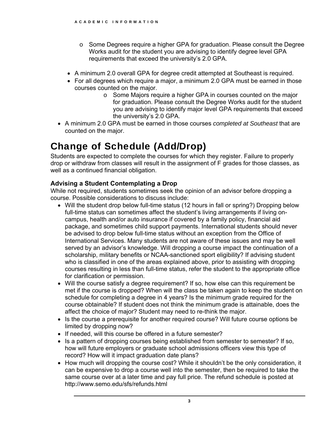- o Some Degrees require a higher GPA for graduation. Please consult the Degree Works audit for the student you are advising to identify degree level GPA requirements that exceed the university's 2.0 GPA.
- A minimum 2.0 overall GPA for degree credit attempted at Southeast is required.
- For all degrees which require a major, a minimum 2.0 GPA must be earned in those courses counted on the major.
	- o Some Majors require a higher GPA in courses counted on the major for graduation. Please consult the Degree Works audit for the student you are advising to identify major level GPA requirements that exceed the university's 2.0 GPA.
- A minimum 2.0 GPA must be earned in those courses *completed at Southeast* that are counted on the major.

### Change of Schedule (Add/Drop)

Students are expected to complete the courses for which they register. Failure to properly drop or withdraw from classes will result in the assignment of F grades for those classes, as well as a continued financial obligation.

### **Advising a Student Contemplating a Drop**

While not required, students sometimes seek the opinion of an advisor before dropping a course. Possible considerations to discuss include:

- Will the student drop below full-time status (12 hours in fall or spring?) Dropping below full-time status can sometimes affect the student's living arrangements if living oncampus, health and/or auto insurance if covered by a family policy, financial aid package, and sometimes child support payments. International students should never be advised to drop below full-time status without an exception from the Office of International Services. Many students are not aware of these issues and may be well served by an advisor's knowledge. Will dropping a course impact the continuation of a scholarship, military benefits or NCAA-sanctioned sport eligibility? If advising student who is classified in one of the areas explained above, prior to assisting with dropping courses resulting in less than full-time status, refer the student to the appropriate office for clarification or permission.
- Will the course satisfy a degree requirement? If so, how else can this requirement be met if the course is dropped? When will the class be taken again to keep the student on schedule for completing a degree in 4 years? Is the minimum grade required for the course obtainable? If student does not think the minimum grade is attainable, does the affect the choice of major? Student may need to re-think the major.
- Is the course a prerequisite for another required course? Will future course options be limited by dropping now?
- If needed, will this course be offered in a future semester?
- Is a pattern of dropping courses being established from semester to semester? If so, how will future employers or graduate school admissions officers view this type of record? How will it impact graduation date plans?
- How much will dropping the course cost? While it shouldn't be the only consideration, it can be expensive to drop a course well into the semester, then be required to take the same course over at a later time and pay full price. The refund schedule is posted at <http://www.semo.edu/sfs/refunds.html>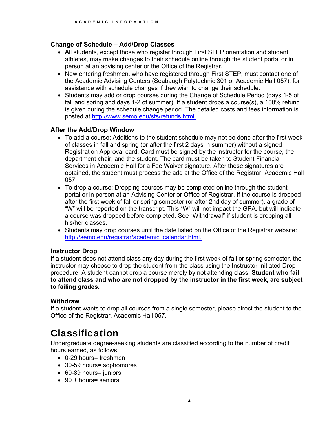### **Change of Schedule – Add/Drop Classes**

- All students, except those who register through First STEP orientation and student athletes, may make changes to their schedule online through the student portal or in person at an advising center or the Office of the Registrar.
- New entering freshmen, who have registered through First STEP, must contact one of the Academic Advising Centers (Seabaugh Polytechnic 301 or Academic Hall 057), for assistance with schedule changes if they wish to change their schedule.
- Students may add or drop courses during the Change of Schedule Period (days 1-5 of fall and spring and days 1-2 of summer). If a student drops a course(s), a 100% refund is given during the schedule change period. The detailed costs and fees information is posted at [http://www.semo.edu/sfs/refunds.html.](http://www.semo.edu/sfs/refunds.html)

### **After the Add/Drop Window**

- To add a course: Additions to the student schedule may not be done after the first week of classes in fall and spring (or after the first 2 days in summer) without a signed Registration Approval card. Card must be signed by the instructor for the course, the department chair, and the student. The card must be taken to Student Financial Services in Academic Hall for a Fee Waiver signature. After these signatures are obtained, the student must process the add at the Office of the Registrar, Academic Hall 057.
- To drop a course: Dropping courses may be completed online through the student portal or in person at an Advising Center or Office of Registrar. If the course is dropped after the first week of fall or spring semester (or after 2nd day of summer), a grade of "W" will be reported on the transcript. This "W" will not impact the GPA, but will indicate a course was dropped before completed. See "Withdrawal" if student is dropping all his/her classes.
- Students may drop courses until the date listed on the Office of the Registrar website: [http://semo.edu/registrar/academic\\_calendar.html](http://semo.edu/registrar/academic_calendar.html).

### **Instructor Drop**

If a student does not attend class any day during the first week of fall or spring semester, the instructor may choose to drop the student from the class using the Instructor Initiated Drop procedure. A student cannot drop a course merely by not attending class. **Student who fail to attend class and who are not dropped by the instructor in the first week, are subject to failing grades.** 

### **Withdraw**

If a student wants to drop all courses from a single semester, please direct the student to the Office of the Registrar, Academic Hall 057.

### Classification

Undergraduate degree-seeking students are classified according to the number of credit hours earned, as follows:

- 0-29 hours= freshmen
- 30-59 hours= sophomores
- 60-89 hours= juniors
- 90 + hours= seniors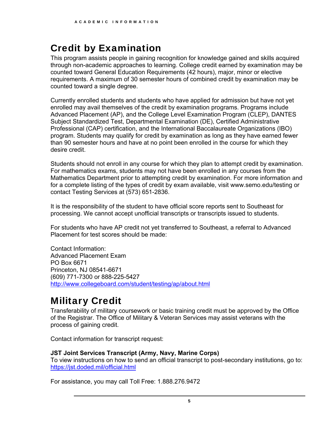### Credit by Examination

This program assists people in gaining recognition for knowledge gained and skills acquired through non-academic approaches to learning. College credit earned by examination may be counted toward General Education Requirements (42 hours), major, minor or elective requirements. A maximum of 30 semester hours of combined credit by examination may be counted toward a single degree.

Currently enrolled students and students who have applied for admission but have not yet enrolled may avail themselves of the credit by examination programs. Programs include Advanced Placement (AP), and the College Level Examination Program (CLEP), DANTES Subject Standardized Test, Departmental Examination (DE), Certified Administrative Professional (CAP) certification, and the International Baccalaureate Organizations (IBO) program. Students may qualify for credit by examination as long as they have earned fewer than 90 semester hours and have at no point been enrolled in the course for which they desire credit.

Students should not enroll in any course for which they plan to attempt credit by examination. For mathematics exams, students may not have been enrolled in any courses from the Mathematics Department prior to attempting credit by examination. For more information and for a complete listing of the types of credit by exam available, visit <www.semo.edu/testing> or contact Testing Services at (573) 651-2836.

It is the responsibility of the student to have official score reports sent to Southeast for processing. We cannot accept unofficial transcripts or transcripts issued to students.

For students who have AP credit not yet transferred to Southeast, a referral to Advanced Placement for test scores should be made:

Contact Information: Advanced Placement Exam PO Box 6671 Princeton, NJ 08541-6671 (609) 771-7300 or 888-225-5427 <http://www.collegeboard.com/student/testing/ap/about.html>

### Military Credit

Transferability of military coursework or basic training credit must be approved by the Office of the Registrar. The Office of Military & Veteran Services may assist veterans with the process of gaining credit.

Contact information for transcript request:

### **JST Joint Services Transcript (Army, Navy, Marine Corps)**

To view instructions on how to send an official transcript to post-secondary institutions, go to: <https://jst.doded.mil/official.html>

For assistance, you may call Toll Free: 1.888.276.9472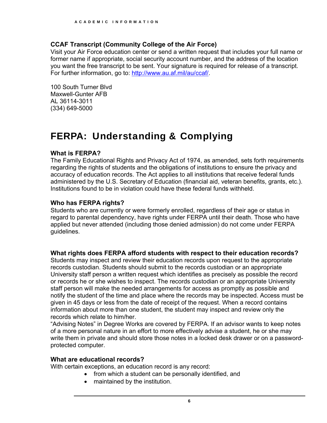#### **CCAF Transcript (Community College of the Air Force)**

Visit your Air Force education center or send a written request that includes your full name or former name if appropriate, social security account number, and the address of the location you want the free transcript to be sent. Your signature is required for release of a transcript. For further information, go to: <http://www.au.af.mil/au/ccaf>/.

 100 South Turner Blvd Maxwell-Gunter AFB AL 36114-3011 (334) 649-5000

### FERPA: Understanding & Complying

#### **What is FERPA?**

The Family Educational Rights and Privacy Act of 1974, as amended, sets forth requirements regarding the rights of students and the obligations of institutions to ensure the privacy and accuracy of education records. The Act applies to all institutions that receive federal funds administered by the U.S. Secretary of Education (financial aid, veteran benefits, grants, etc.). Institutions found to be in violation could have these federal funds withheld.

#### **Who has FERPA rights?**

Students who are currently or were formerly enrolled, regardless of their age or status in regard to parental dependency, have rights under FERPA until their death. Those who have applied but never attended (including those denied admission) do not come under FERPA guidelines.

### **What rights does FERPA afford students with respect to their education records?**

Students may inspect and review their education records upon request to the appropriate records custodian. Students should submit to the records custodian or an appropriate University staff person a written request which identifies as precisely as possible the record or records he or she wishes to inspect. The records custodian or an appropriate University staff person will make the needed arrangements for access as promptly as possible and notify the student of the time and place where the records may be inspected. Access must be given in 45 days or less from the date of receipt of the request. When a record contains information about more than one student, the student may inspect and review only the records which relate to him/her.

"Advising Notes" in Degree Works are covered by FERPA. If an advisor wants to keep notes of a more personal nature in an effort to more effectively advise a student, he or she may write them in private and should store those notes in a locked desk drawer or on a passwordprotected computer.

#### **What are educational records?**

With certain exceptions, an education record is any record:

- from which a student can be personally identified, and
- maintained by the institution.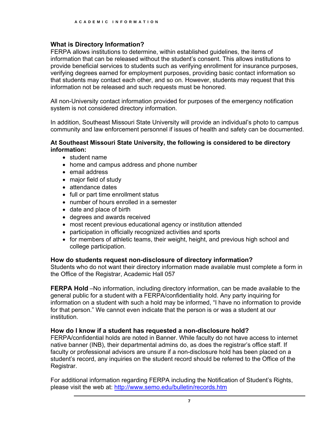### **What is Directory Information?**

FERPA allows institutions to determine, within established guidelines, the items of information that can be released without the student's consent. This allows institutions to provide beneficial services to students such as verifying enrollment for insurance purposes, verifying degrees earned for employment purposes, providing basic contact information so that students may contact each other, and so on. However, students may request that this information not be released and such requests must be honored.

All non-University contact information provided for purposes of the emergency notification system is not considered directory information.

In addition, Southeast Missouri State University will provide an individual's photo to campus community and law enforcement personnel if issues of health and safety can be documented.

#### **At Southeast Missouri State University, the following is considered to be directory information:**

- student name
- home and campus address and phone number
- email address
- major field of study
- attendance dates
- full or part time enrollment status
- number of hours enrolled in a semester
- date and place of birth
- degrees and awards received
- most recent previous educational agency or institution attended
- participation in officially recognized activities and sports
- for members of athletic teams, their weight, height, and previous high school and college participation.

### **How do students request non-disclosure of directory information?**

Students who do not want their directory information made available must complete a form in the Office of the Registrar, Academic Hall 057

**FERPA Hold** –No information, including directory information, can be made available to the general public for a student with a FERPA/confidentiality hold. Any party inquiring for information on a student with such a hold may be informed, "I have no information to provide for that person." We cannot even indicate that the person is or was a student at our institution.

### **How do I know if a student has requested a non-disclosure hold?**

FERPA/confidential holds are noted in Banner. While faculty do not have access to internet native banner (INB), their departmental admins do, as does the registrar's office staff. If faculty or professional advisors are unsure if a non-disclosure hold has been placed on a student's record, any inquiries on the student record should be referred to the Office of the Registrar.

For additional information regarding FERPA including the Notification of Student's Rights, please visit the web at:<http://www.semo.edu/bulletin/records.htm>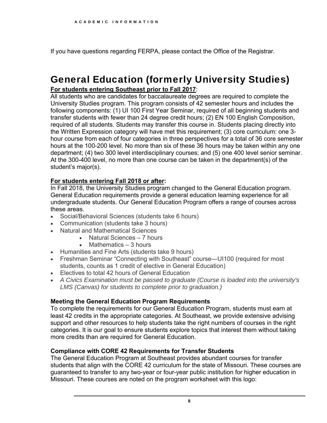If you have questions regarding FERPA, please contact the Office of the Registrar.

### General Education (formerly University Studies)

### **For students entering Southeast prior to Fall 2017**:

All students who are candidates for baccalaureate degrees are required to complete the University Studies program. This program consists of 42 semester hours and includes the following components: (1) UI 100 First Year Seminar, required of all beginning students and transfer students with fewer than 24 degree credit hours; (2) EN 100 English Composition, required of all students. Students may transfer this course in. Students placing directly into the Written Expression category will have met this requirement; (3) core curriculum: one 3 hour course from each of four categories in three perspectives for a total of 36 core semester hours at the 100-200 level. No more than six of these 36 hours may be taken within any one department; (4) two 300 level interdisciplinary courses; and (5) one 400 level senior seminar. At the 300-400 level, no more than one course can be taken in the department(s) of the student's major(s).

### **For students entering Fall 2018 or after:**

In Fall 2018, the University Studies program changed to the General Education program. General Education requirements provide a general education learning experience for all undergraduate students. Our General Education Program offers a range of courses across these areas.

- Social/Behavioral Sciences (students take 6 hours)
- Communication (students take 3 hours)
- Natural and Mathematical Sciences
	- Natural Sciences 7 hours
		- Mathematics 3 hours
- Humanities and Fine Arts (students take 9 hours)
- Freshman Seminar "Connecting with Southeast" course—UI100 (required for most students, counts as 1 credit of elective in General Education)
- Electives to total 42 hours of General Education
- *A Civics Examination must be passed to graduate (Course is loaded into the university's LMS (Canvas) for students to complete prior to graduation.)*

### **Meeting the General Education Program Requirements**

To complete the requirements for our General Education Program, students must earn at least 42 credits in the appropriate categories. At Southeast, we provide extensive advising support and other resources to help students take the right numbers of courses in the right categories. It is our goal to ensure students explore topics that interest them without taking more credits than are required for General Education.

### **Compliance with CORE 42 Requirements for Transfer Students**

The General Education Program at Southeast provides abundant courses for transfer students that align with the CORE 42 curriculum for the state of Missouri. These courses are guaranteed to transfer to any two-year or four-year public institution for higher education in Missouri. These courses are noted on the program worksheet with this logo: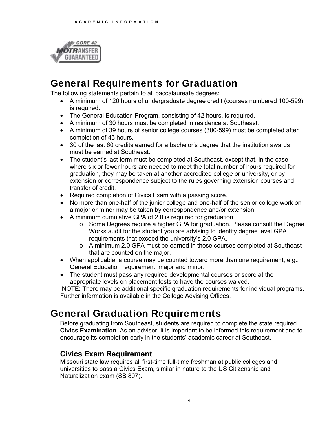

### General Requirements for Graduation

The following statements pertain to all baccalaureate degrees:

- A minimum of 120 hours of undergraduate degree credit (courses numbered 100-599) is required.
- The General Education Program, consisting of 42 hours, is required.
- A minimum of 30 hours must be completed in residence at Southeast.
- completion of 45 hours. A minimum of 39 hours of senior college courses (300-599) must be completed after
- 30 of the last 60 credits earned for a bachelor's degree that the institution awards must be earned at Southeast.
- The student's last term must be completed at Southeast, except that, in the case where six or fewer hours are needed to meet the total number of hours required for graduation, they may be taken at another accredited college or university, or by extension or correspondence subject to the rules governing extension courses and transfer of credit.
- Required completion of Civics Exam with a passing score.
- No more than one-half of the junior college and one-half of the senior college work on a major or minor may be taken by correspondence and/or extension.
- A minimum cumulative GPA of 2.0 is required for graduation
	- o Some Degrees require a higher GPA for graduation. Please consult the Degree Works audit for the student you are advising to identify degree level GPA requirements that exceed the university's 2.0 GPA.
	- o A minimum 2.0 GPA must be earned in those courses completed at Southeast that are counted on the major.
- When applicable, a course may be counted toward more than one requirement, e.g., General Education requirement, major and minor.
- The student must pass any required developmental courses or score at the appropriate levels on placement tests to have the courses waived.

 NOTE: There may be additional specific graduation requirements for individual programs. Further information is available in the College Advising Offices.

### General Graduation Requirements

Before graduating from Southeast, students are required to complete the state required **Civics Examination.** As an advisor, it is important to be informed this requirement and to encourage its completion early in the students' academic career at Southeast.

### **Civics Exam Requirement**

Missouri state law requires all first-time full-time freshman at public colleges and universities to pass a Civics Exam, similar in nature to the US Citizenship and Naturalization exam (SB 807).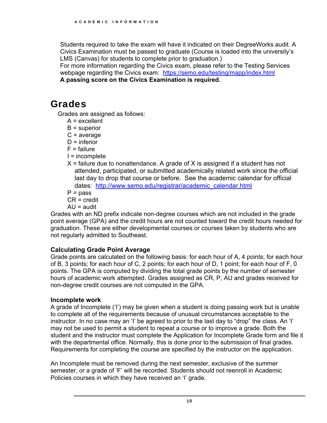Students required to take the exam will have it indicated on their DegreeWorks audit. A Civics Examination must be passed to graduate (Course is loaded into the university's LMS (Canvas) for students to complete prior to graduation.)

For more information regarding the Civics exam, please refer to the Testing Services webpage regarding the Civics exam: <https://semo.edu/testing/mapp/index.html> **A passing score on the Civics Examination is required.** 

### Grades

Grades are assigned as follows:

- A = excellent
- $B =$ superior
- $C = average$
- $D =$  inferior
- $F =$  failure
- I = incomplete
- dates: [http://www.semo.edu/registrar/academic\\_calendar.html](http://www.semo.edu/registrar/academic_calendar.html)  $X$  = failure due to nonattendance. A grade of X is assigned if a student has not attended, participated, or submitted academically related work since the official last day to drop that course or before. See the academic calendar for official

 $P = p$ ass

CR = credit

 $AU =$  audit

Grades with an ND prefix indicate non-degree courses which are not included in the grade point average (GPA) and the credit hours are not counted toward the credit hours needed for graduation. These are either developmental courses or courses taken by students who are not regularly admitted to Southeast.

### **Calculating Grade Point Average**

Grade points are calculated on the following basis: for each hour of A, 4 points; for each hour of B, 3 points; for each hour of C, 2 points; for each hour of D, 1 point; for each hour of F, 0 points. The GPA is computed by dividing the total grade points by the number of semester hours of academic work attempted. Grades assigned as CR, P, AU and grades received for non-degree credit courses are not computed in the GPA.

### **Incomplete work**

A grade of Incomplete ('I') may be given when a student is doing passing work but is unable to complete all of the requirements because of unusual circumstances acceptable to the instructor. In no case may an 'I' be agreed to prior to the last day to "drop" the class. An 'I' may not be used to permit a student to repeat a course or to improve a grade. Both the student and the instructor must complete the Application for Incomplete Grade form and file it with the departmental office. Normally, this is done prior to the submission of final grades. Requirements for completing the course are specified by the instructor on the application.

An Incomplete must be removed during the next semester, exclusive of the summer semester, or a grade of 'F' will be recorded. Students should not reenroll in Academic Policies courses in which they have received an 'I' grade.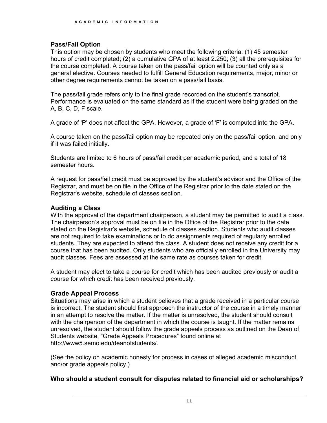### **Pass/Fail Option**

 other degree requirements cannot be taken on a pass/fail basis. This option may be chosen by students who meet the following criteria: (1) 45 semester hours of credit completed; (2) a cumulative GPA of at least 2.250; (3) all the prerequisites for the course completed. A course taken on the pass/fail option will be counted only as a general elective. Courses needed to fulfill General Education requirements, major, minor or

The pass/fail grade refers only to the final grade recorded on the student's transcript. Performance is evaluated on the same standard as if the student were being graded on the A, B, C, D, F scale.

A grade of 'P' does not affect the GPA. However, a grade of 'F' is computed into the GPA.

A course taken on the pass/fail option may be repeated only on the pass/fail option, and only if it was failed initially.

Students are limited to 6 hours of pass/fail credit per academic period, and a total of 18 semester hours.

A request for pass/fail credit must be approved by the student's advisor and the Office of the Registrar, and must be on file in the Office of the Registrar prior to the date stated on the Registrar's website, schedule of classes section.

### **Auditing a Class**

With the approval of the department chairperson, a student may be permitted to audit a class. The chairperson's approval must be on file in the Office of the Registrar prior to the date stated on the Registrar's website, schedule of classes section. Students who audit classes are not required to take examinations or to do assignments required of regularly enrolled students. They are expected to attend the class. A student does not receive any credit for a course that has been audited. Only students who are officially enrolled in the University may audit classes. Fees are assessed at the same rate as courses taken for credit.

A student may elect to take a course for credit which has been audited previously or audit a course for which credit has been received previously.

### **Grade Appeal Process**

Situations may arise in which a student believes that a grade received in a particular course is incorrect. The student should first approach the instructor of the course in a timely manner in an attempt to resolve the matter. If the matter is unresolved, the student should consult with the chairperson of the department in which the course is taught. If the matter remains unresolved, the student should follow the grade appeals process as outlined on the Dean of Students website, "Grade Appeals Procedures" found online at <http://www5.semo.edu/deanofstudents>/.

(See the policy on academic honesty for process in cases of alleged academic misconduct and/or grade appeals policy.)

### **Who should a student consult for disputes related to financial aid or scholarships?**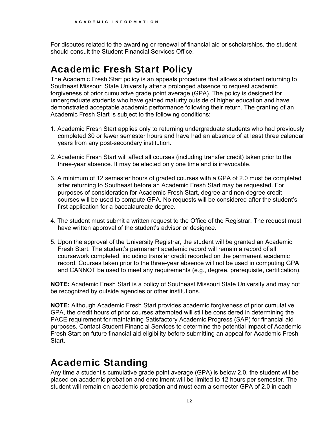For disputes related to the awarding or renewal of financial aid or scholarships, the student should consult the Student Financial Services Office.

### Academic Fresh Start Policy

The Academic Fresh Start policy is an appeals procedure that allows a student returning to Southeast Missouri State University after a prolonged absence to request academic forgiveness of prior cumulative grade point average (GPA). The policy is designed for undergraduate students who have gained maturity outside of higher education and have demonstrated acceptable academic performance following their return. The granting of an Academic Fresh Start is subject to the following conditions:

- 1. Academic Fresh Start applies only to returning undergraduate students who had previously completed 30 or fewer semester hours and have had an absence of at least three calendar years from any post-secondary institution.
- 2. Academic Fresh Start will affect all courses (including transfer credit) taken prior to the three-year absence. It may be elected only one time and is irrevocable.
- first application for a baccalaureate degree. 3. A minimum of 12 semester hours of graded courses with a GPA of 2.0 must be completed after returning to Southeast before an Academic Fresh Start may be requested. For purposes of consideration for Academic Fresh Start, degree and non-degree credit courses will be used to compute GPA. No requests will be considered after the student's
- 4. The student must submit a written request to the Office of the Registrar. The request must have written approval of the student's advisor or designee.
- 5. Upon the approval of the University Registrar, the student will be granted an Academic Fresh Start. The student's permanent academic record will remain a record of all coursework completed, including transfer credit recorded on the permanent academic record. Courses taken prior to the three-year absence will not be used in computing GPA and CANNOT be used to meet any requirements (e.g., degree, prerequisite, certification).

**NOTE:** Academic Fresh Start is a policy of Southeast Missouri State University and may not be recognized by outside agencies or other institutions.

**NOTE:** Although Academic Fresh Start provides academic forgiveness of prior cumulative GPA, the credit hours of prior courses attempted will still be considered in determining the PACE requirement for maintaining Satisfactory Academic Progress (SAP) for financial aid purposes. Contact Student Financial Services to determine the potential impact of Academic Fresh Start on future financial aid eligibility before submitting an appeal for Academic Fresh Start.

### Academic Standing

Any time a student's cumulative grade point average (GPA) is below 2.0, the student will be placed on academic probation and enrollment will be limited to 12 hours per semester. The student will remain on academic probation and must earn a semester GPA of 2.0 in each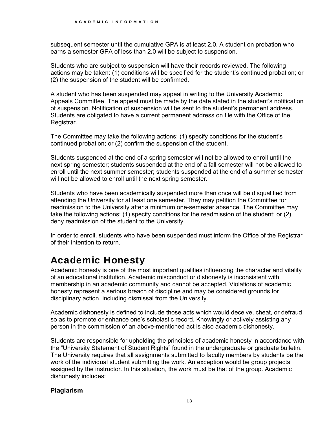subsequent semester until the cumulative GPA is at least 2.0. A student on probation who earns a semester GPA of less than 2.0 will be subject to suspension.

Students who are subject to suspension will have their records reviewed. The following actions may be taken: (1) conditions will be specified for the student's continued probation; or (2) the suspension of the student will be confirmed.

A student who has been suspended may appeal in writing to the University Academic Appeals Committee. The appeal must be made by the date stated in the student's notification of suspension. Notification of suspension will be sent to the student's permanent address. Students are obligated to have a current permanent address on file with the Office of the Registrar.

The Committee may take the following actions: (1) specify conditions for the student's continued probation; or (2) confirm the suspension of the student.

Students suspended at the end of a spring semester will not be allowed to enroll until the next spring semester; students suspended at the end of a fall semester will not be allowed to enroll until the next summer semester; students suspended at the end of a summer semester will not be allowed to enroll until the next spring semester.

 readmission to the University after a minimum one-semester absence. The Committee may Students who have been academically suspended more than once will be disqualified from attending the University for at least one semester. They may petition the Committee for take the following actions: (1) specify conditions for the readmission of the student; or (2) deny readmission of the student to the University.

In order to enroll, students who have been suspended must inform the Office of the Registrar of their intention to return.

### Academic Honesty

Academic honesty is one of the most important qualities influencing the character and vitality of an educational institution. Academic misconduct or dishonesty is inconsistent with membership in an academic community and cannot be accepted. Violations of academic honesty represent a serious breach of discipline and may be considered grounds for disciplinary action, including dismissal from the University.

Academic dishonesty is defined to include those acts which would deceive, cheat, or defraud so as to promote or enhance one's scholastic record. Knowingly or actively assisting any person in the commission of an above-mentioned act is also academic dishonesty.

Students are responsible for upholding the principles of academic honesty in accordance with the "University Statement of Student Rights" found in the undergraduate or graduate bulletin. The University requires that all assignments submitted to faculty members by students be the work of the individual student submitting the work. An exception would be group projects assigned by the instructor. In this situation, the work must be that of the group. Academic dishonesty includes:

### **Plagiarism**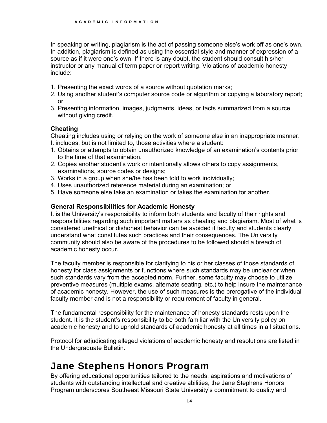In speaking or writing, plagiarism is the act of passing someone else's work off as one's own. In addition, plagiarism is defined as using the essential style and manner of expression of a source as if it were one's own. If there is any doubt, the student should consult his/her instructor or any manual of term paper or report writing. Violations of academic honesty include:

- 1. Presenting the exact words of a source without quotation marks;
- 2. Using another student's computer source code or algorithm or copying a laboratory report; or
- 3. Presenting information, images, judgments, ideas, or facts summarized from a source without giving credit.

### **Cheating**

Cheating includes using or relying on the work of someone else in an inappropriate manner. It includes, but is not limited to, those activities where a student:

- 1. Obtains or attempts to obtain unauthorized knowledge of an examination's contents prior to the time of that examination.
- 2. Copies another student's work or intentionally allows others to copy assignments, examinations, source codes or designs;
- 3. Works in a group when she/he has been told to work individually;
- 4. Uses unauthorized reference material during an examination; or
- 5. Have someone else take an examination or takes the examination for another.

### **General Responsibilities for Academic Honesty**

It is the University's responsibility to inform both students and faculty of their rights and responsibilities regarding such important matters as cheating and plagiarism. Most of what is considered unethical or dishonest behavior can be avoided if faculty and students clearly understand what constitutes such practices and their consequences. The University community should also be aware of the procedures to be followed should a breach of academic honesty occur.

The faculty member is responsible for clarifying to his or her classes of those standards of honesty for class assignments or functions where such standards may be unclear or when such standards vary from the accepted norm. Further, some faculty may choose to utilize preventive measures (multiple exams, alternate seating, etc.) to help insure the maintenance of academic honesty. However, the use of such measures is the prerogative of the individual faculty member and is not a responsibility or requirement of faculty in general.

The fundamental responsibility for the maintenance of honesty standards rests upon the student. It is the student's responsibility to be both familiar with the University policy on academic honesty and to uphold standards of academic honesty at all times in all situations.

Protocol for adjudicating alleged violations of academic honesty and resolutions are listed in the Undergraduate Bulletin.

### Jane Stephens Honors Program

By offering educational opportunities tailored to the needs, aspirations and motivations of students with outstanding intellectual and creative abilities, the Jane Stephens Honors Program underscores Southeast Missouri State University's commitment to quality and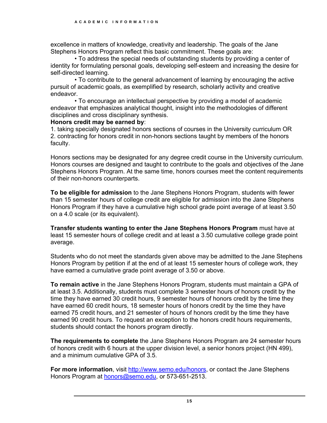excellence in matters of knowledge, creativity and leadership. The goals of the Jane Stephens Honors Program reflect this basic commitment. These goals are:

• To address the special needs of outstanding students by providing a center of identity for formulating personal goals, developing self-esteem and increasing the desire for self-directed learning.

• To contribute to the general advancement of learning by encouraging the active pursuit of academic goals, as exemplified by research, scholarly activity and creative endeavor.

• To encourage an intellectual perspective by providing a model of academic endeavor that emphasizes analytical thought, insight into the methodologies of different disciplines and cross disciplinary synthesis.

#### **Honors credit may be earned by**:

1. taking specially designated honors sections of courses in the University curriculum OR 2. contracting for honors credit in non-honors sections taught by members of the honors faculty.

 Honors courses are designed and taught to contribute to the goals and objectives of the Jane Honors sections may be designated for any degree credit course in the University curriculum. Stephens Honors Program. At the same time, honors courses meet the content requirements of their non-honors counterparts.

**To be eligible for admission** to the Jane Stephens Honors Program, students with fewer than 15 semester hours of college credit are eligible for admission into the Jane Stephens Honors Program if they have a cumulative high school grade point average of at least 3.50 on a 4.0 scale (or its equivalent).

**Transfer students wanting to enter the Jane Stephens Honors Program** must have at least 15 semester hours of college credit and at least a 3.50 cumulative college grade point average.

Students who do not meet the standards given above may be admitted to the Jane Stephens Honors Program by petition if at the end of at least 15 semester hours of college work, they have earned a cumulative grade point average of 3.50 or above.

**To remain active** in the Jane Stephens Honors Program, students must maintain a GPA of at least 3.5. Additionally, students must complete 3 semester hours of honors credit by the time they have earned 30 credit hours, 9 semester hours of honors credit by the time they have earned 60 credit hours, 18 semester hours of honors credit by the time they have earned 75 credit hours, and 21 semester of hours of honors credit by the time they have earned 90 credit hours. To request an exception to the honors credit hours requirements, students should contact the honors program directly.

**The requirements to complete** the Jane Stephens Honors Program are 24 semester hours of honors credit with 6 hours at the upper division level, a senior honors project (HN 499), and a minimum cumulative GPA of 3.5.

**For more information**, visit<http://www.semo.edu/honors>, or contact the Jane Stephens Honors Program at **honors@semo.edu**, or 573-651-2513.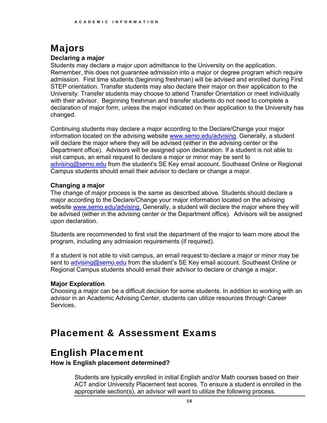### Majors

#### **Declaring a major**

Students may declare a major upon admittance to the University on the application. Remember, this does not guarantee admission into a major or degree program which require admission. First time students (beginning freshman) will be advised and enrolled during First STEP orientation. Transfer students may also declare their major on their application to the University. Transfer students may choose to attend Transfer Orientation or meet individually with their advisor. Beginning freshman and transfer students do not need to complete a declaration of major form, unless the major indicated on their application to the University has changed.

Continuing students may declare a major according to the Declare/Change your major information located on the advising website [www.semo.edu/advising.](www.semo.edu/advising) Generally, a student will declare the major where they will be advised (either in the advising center or the Department office). Advisors will be assigned upon declaration. If a student is not able to visit campus, an email request to declare a major or minor may be sent to [advising@semo.edu](mailto:advising@semo.edu) from the student's SE Key email account. Southeast Online or Regional Campus students should email their advisor to declare or change a major.

#### **Changing a major**

The change of major process is the same as described above. Students should declare a major according to the Declare/Change your major information located on the advising website [www.semo.edu/advising.](www.semo.edu/advising) Generally, a student will declare the major where they will be advised (either in the advising center or the Department office). Advisors will be assigned upon declaration.

Students are recommended to first visit the department of the major to learn more about the program, including any admission requirements (if required).

If a student is not able to visit campus, an email request to declare a major or minor may be sent to [advising@semo.edu](mailto:advising@semo.edu) from the student's SE Key email account. Southeast Online or Regional Campus students should email their advisor to declare or change a major.

### **Major Exploration**

Choosing a major can be a difficult decision for some students. In addition to working with an advisor in an Academic Advising Center, students can utilize resources through Career Services.

### Placement & Assessment Exams

### English Placement

**How is English placement determined?** 

Students are typically enrolled in initial English and/or Math courses based on their ACT and/or University Placement test scores. To ensure a student is enrolled in the appropriate section(s), an advisor will want to utilize the following process.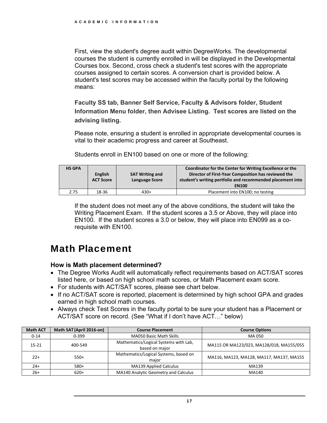First, view the student's degree audit within DegreeWorks. The developmental courses the student is currently enrolled in will be displayed in the Developmental Courses box. Second, cross check a student's test scores with the appropriate courses assigned to certain scores. A conversion chart is provided below. A student's test scores may be accessed within the faculty portal by the following means:

**Faculty SS tab, Banner Self Service, Faculty & Advisors folder, Student Information Menu folder, then Advisee Listing. Test scores are listed on the advising listing.**

Please note, ensuring a student is enrolled in appropriate developmental courses is vital to their academic progress and career at Southeast.

Students enroll in EN100 based on one or more of the following:

| <b>HS GPA</b> | <b>English</b><br><b>ACT Score</b> | <b>SAT Writing and</b><br><b>Language Score</b> | Coordinator for the Center for Writing Excellence or the<br>Director of First-Year Composition has reviewed the<br>student's writing portfolio and recommended placement into<br><b>EN100</b> |
|---------------|------------------------------------|-------------------------------------------------|-----------------------------------------------------------------------------------------------------------------------------------------------------------------------------------------------|
| 2.75          | 18-36                              | $430+$                                          | Placement into EN100; no testing                                                                                                                                                              |

If the student does not meet any of the above conditions, the student will take the Writing Placement Exam. If the student scores a 3.5 or Above, they will place into EN100. If the student scores a 3.0 or below, they will place into EN099 as a corequisite with EN100.

### Math Placement

### **How is Math placement determined?**

- The Degree Works Audit will automatically reflect requirements based on ACT/SAT scores listed here, or based on high school math scores, or Math Placement exam score.
- For students with ACT/SAT scores, please see chart below.
- If no ACT/SAT score is reported, placement is determined by high school GPA and grades earned in high school math courses.
- Always check Test Scores in the faculty portal to be sure your student has a Placement or ACT/SAT score on record. (See "What if I don't have ACT…" below)

| <b>Math ACT</b> | Math SAT (April 2016-on) | <b>Course Placement</b>                                 | <b>Course Options</b>                    |
|-----------------|--------------------------|---------------------------------------------------------|------------------------------------------|
| $0 - 14$        | $0 - 399$                | <b>MA050 Basic Math Skills</b>                          | MA 050                                   |
| $15 - 21$       | 400-549                  | Mathematics/Logical Systems with Lab,<br>based on major | MA115 OR MA123/023, MA128/018, MA155/055 |
| $22+$           | $550+$                   | Mathematics/Logical Systems, based on<br>maior          | MA116, MA123, MA128, MA117, MA137, MA155 |
| $24+$           | $580+$                   | <b>MA139 Applied Calculus</b>                           | MA139                                    |
| $26+$           | $620+$                   | MA140 Analytic Geometry and Calculus                    | MA140                                    |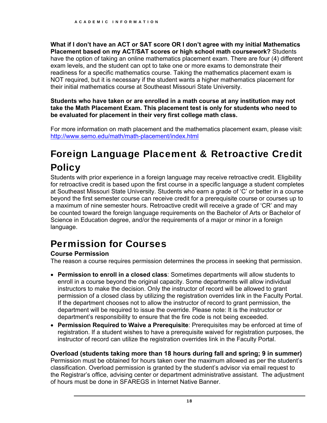**What if I don't have an ACT or SAT score OR I don't agree with my initial Mathematics Placement based on my ACT/SAT scores or high school math coursework?** Students have the option of taking an online mathematics placement exam. There are four (4) different exam levels, and the student can opt to take one or more exams to demonstrate their readiness for a specific mathematics course. Taking the mathematics placement exam is NOT required, but it is necessary if the student wants a higher mathematics placement for their initial mathematics course at Southeast Missouri State University.

**Students who have taken or are enrolled in a math course at any institution may not take the Math Placement Exam. This placement test is only for students who need to be evaluated for placement in their very first college math class.**

For more information on math placement and the mathematics placement exam, please visit: <http://www.semo.edu/math/math-placement/index.html>

### Foreign Language Placement & Retroactive Credit **Policy**

Students with prior experience in a foreign language may receive retroactive credit. Eligibility for retroactive credit is based upon the first course in a specific language a student completes at Southeast Missouri State University. Students who earn a grade of 'C' or better in a course beyond the first semester course can receive credit for a prerequisite course or courses up to a maximum of nine semester hours. Retroactive credit will receive a grade of 'CR' and may be counted toward the foreign language requirements on the Bachelor of Arts or Bachelor of Science in Education degree, and/or the requirements of a major or minor in a foreign language.

### Permission for Courses

### **Course Permission**

The reason a course requires permission determines the process in seeking that permission.

- **Permission to enroll in a closed class**: Sometimes departments will allow students to enroll in a course beyond the original capacity. Some departments will allow individual instructors to make the decision. Only the instructor of record will be allowed to grant permission of a closed class by utilizing the registration overrides link in the Faculty Portal. If the department chooses not to allow the instructor of record to grant permission, the department will be required to issue the override. Please note: It is the instructor or department's responsibility to ensure that the fire code is not being exceeded.
- **Permission Required to Waive a Prerequisite**: Prerequisites may be enforced at time of instructor of record can utilize the registration overrides link in the Faculty Portal. registration. If a student wishes to have a prerequisite waived for registration purposes, the

### **Overload (students taking more than 18 hours during fall and spring; 9 in summer)**

Permission must be obtained for hours taken over the maximum allowed as per the student's classification. Overload permission is granted by the student's advisor via email request to the Registrar's office, advising center or department administrative assistant. The adjustment of hours must be done in SFAREGS in Internet Native Banner.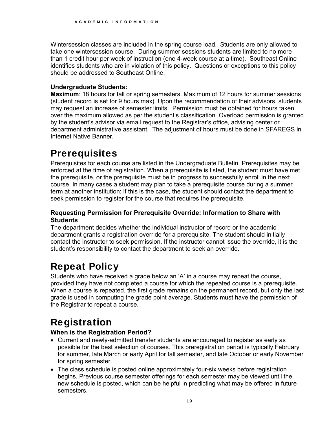Wintersession classes are included in the spring course load. Students are only allowed to take one wintersession course. During summer sessions students are limited to no more than 1 credit hour per week of instruction (one 4-week course at a time). Southeast Online identifies students who are in violation of this policy. Questions or exceptions to this policy should be addressed to Southeast Online.

### **Undergraduate Students:**

**Maximum**: 18 hours for fall or spring semesters. Maximum of 12 hours for summer sessions (student record is set for 9 hours max). Upon the recommendation of their advisors, students may request an increase of semester limits. Permission must be obtained for hours taken over the maximum allowed as per the student's classification. Overload permission is granted by the student's advisor via email request to the Registrar's office, advising center or department administrative assistant. The adjustment of hours must be done in SFAREGS in Internet Native Banner.

### **Prerequisites**

Prerequisites for each course are listed in the Undergraduate Bulletin. Prerequisites may be enforced at the time of registration. When a prerequisite is listed, the student must have met the prerequisite, or the prerequisite must be in progress to successfully enroll in the next course. In many cases a student may plan to take a prerequisite course during a summer term at another institution; if this is the case, the student should contact the department to seek permission to register for the course that requires the prerequisite.

### **Requesting Permission for Prerequisite Override: Information to Share with Students**

 student's responsibility to contact the department to seek an override. The department decides whether the individual instructor of record or the academic department grants a registration override for a prerequisite. The student should initially contact the instructor to seek permission. If the instructor cannot issue the override, it is the

### Repeat Policy

Students who have received a grade below an 'A' in a course may repeat the course, provided they have not completed a course for which the repeated course is a prerequisite. When a course is repeated, the first grade remains on the permanent record, but only the last grade is used in computing the grade point average. Students must have the permission of the Registrar to repeat a course.

### Registration

### **When is the Registration Period?**

- Current and newly-admitted transfer students are encouraged to register as early as possible for the best selection of courses. This preregistration period is typically February for summer, late March or early April for fall semester, and late October or early November for spring semester.
- The class schedule is posted online approximately four-six weeks before registration begins. Previous course semester offerings for each semester may be viewed until the new schedule is posted, which can be helpful in predicting what may be offered in future semesters.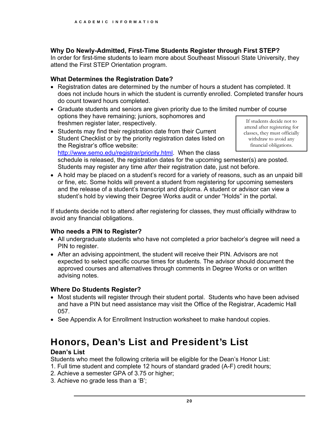### **Why Do Newly-Admitted, First-Time Students Register through First STEP?**

In order for first-time students to learn more about Southeast Missouri State University, they attend the First STEP Orientation program.

### **What Determines the Registration Date?**

- Registration dates are determined by the number of hours a student has completed. It does not include hours in which the student is currently enrolled. Completed transfer hours do count toward hours completed.
- options they have remaining; juniors, sophomores and<br>
freshmen register later, respectively.<br>
Students may find their registration date from their Current<br>
Students may find their registration date from their Current<br>
clas Graduate students and seniors are given priority due to the limited number of course
- Student Checklist or by the priority registration dates listed on  $\parallel$  withdraw to avoid any the Registrar's office website:  $\blacksquare$  financial obligations. [http://www.semo.edu/registrar/priority.html.](http://www.semo.edu/registrar/priority.html) When the class

schedule is released, the registration dates for the upcoming semester(s) are posted. Students may register any time *after* their registration date, just not before.

• A hold may be placed on a student's record for a variety of reasons, such as an unpaid bill or fine, etc. Some holds will prevent a student from registering for upcoming semesters and the release of a student's transcript and diploma. A student or advisor can view a student's hold by viewing their Degree Works audit or under "Holds" in the portal.

If students decide not to attend after registering for classes, they must officially withdraw to avoid any financial obligations.

### **Who needs a PIN to Register?**

- All undergraduate students who have not completed a prior bachelor's degree will need a PIN to register.
- After an advising appointment, the student will receive their PIN. Advisors are not expected to select specific course times for students. The advisor should document the approved courses and alternatives through comments in Degree Works or on written advising notes.

### **Where Do Students Register?**

- Most students will register through their student portal. Students who have been advised and have a PIN but need assistance may visit the Office of the Registrar, Academic Hall 057.
- See Appendix A for Enrollment Instruction worksheet to make handout copies.

### Honors, Dean's List and President's List

### **Dean's List**

Students who meet the following criteria will be eligible for the Dean's Honor List:

- 1. Full time student and complete 12 hours of standard graded (A-F) credit hours;
- 2. Achieve a semester GPA of 3.75 or higher;
- 3. Achieve no grade less than a 'B';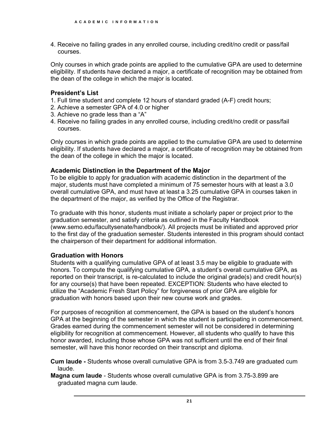4. Receive no failing grades in any enrolled course, including credit/no credit or pass/fail courses.

Only courses in which grade points are applied to the cumulative GPA are used to determine eligibility. If students have declared a major, a certificate of recognition may be obtained from the dean of the college in which the major is located.

#### **President's List**

- 1. Full time student and complete 12 hours of standard graded (A-F) credit hours;
- 2. Achieve a semester GPA of 4.0 or higher
- 3. Achieve no grade less than a "A"
- 4. Receive no failing grades in any enrolled course, including credit/no credit or pass/fail courses.

Only courses in which grade points are applied to the cumulative GPA are used to determine eligibility. If students have declared a major, a certificate of recognition may be obtained from the dean of the college in which the major is located.

#### **Academic Distinction in the Department of the Major**

To be eligible to apply for graduation with academic distinction in the department of the major, students must have completed a minimum of 75 semester hours with at least a 3.0 overall cumulative GPA, and must have at least a 3.25 cumulative GPA in courses taken in the department of the major, as verified by the Office of the Registrar.

 the chairperson of their department for additional information. To graduate with this honor, students must initiate a scholarly paper or project prior to the graduation semester, and satisfy criteria as outlined in the Faculty Handbook ([www.semo.edu/facultysenate/handbook/](www.semo.edu/facultysenate/handbook)). All projects must be initiated and approved prior to the first day of the graduation semester. Students interested in this program should contact

#### **Graduation with Honors**

Students with a qualifying cumulative GPA of at least 3.5 may be eligible to graduate with honors. To compute the qualifying cumulative GPA, a student's overall cumulative GPA, as reported on their transcript, is re-calculated to include the original grade(s) and credit hour(s) for any course(s) that have been repeated. EXCEPTION: Students who have elected to utilize the "Academic Fresh Start Policy" for forgiveness of prior GPA are eligible for graduation with honors based upon their new course work and grades.

For purposes of recognition at commencement, the GPA is based on the student's honors GPA at the beginning of the semester in which the student is participating in commencement. Grades earned during the commencement semester will not be considered in determining eligibility for recognition at commencement. However, all students who qualify to have this honor awarded, including those whose GPA was not sufficient until the end of their final semester, will have this honor recorded on their transcript and diploma.

**Cum laude -** Students whose overall cumulative GPA is from 3.5-3.749 are graduated cum laude.

**Magna cum laude** - Students whose overall cumulative GPA is from 3.75-3.899 are graduated magna cum laude.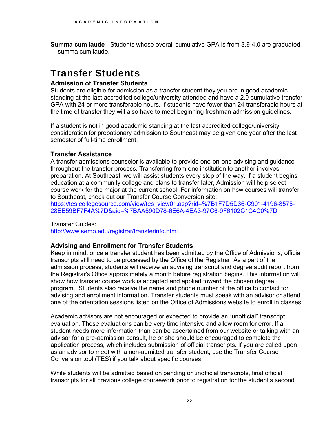**Summa cum laude** - Students whose overall cumulative GPA is from 3.9-4.0 are graduated summa cum laude.

### Transfer Students

### **Admission of Transfer Students**

Students are eligible for admission as a transfer student they you are in good academic standing at the last accredited college/university attended and have a 2.0 cumulative transfer GPA with 24 or more transferable hours. If students have fewer than 24 transferable hours at the time of transfer they will also have to meet beginning freshman admission guidelines.

If a student is not in good academic standing at the last accredited college/university, consideration for probationary admission to Southeast may be given one year after the last semester of full-time enrollment.

### **Transfer Assistance**

A transfer admissions counselor is available to provide one-on-one advising and guidance throughout the transfer process. Transferring from one institution to another involves preparation. At Southeast, we will assist students every step of the way. If a student begins education at a community college and plans to transfer later, Admission will help select course work for the major at the current school. For information on how courses will transfer to Southeast, check out our Transfer Course Conversion site:

[https://tes.collegesource.com/view/tes\\_view01.asp?rid=%7B1F7D5D36-C901-4196-8575](https://tes.collegesource.com/view/tes_view01.asp?rid=%7B1F7D5D36-C901-4196-8575)-28EE59BF7F4A%7D&aid=%7BAA590D78-6E6A-4EA3-97C6-9F6102C1C4C0%7D

Transfer Guides:

<http://www.semo.edu/registrar/transferinfo.html>

### **Advising and Enrollment for Transfer Students**

Keep in mind, once a transfer student has been admitted by the Office of Admissions, official transcripts still need to be processed by the Office of the Registrar. As a part of the admission process, students will receive an advising transcript and degree audit report from the Registrar's Office approximately a month before registration begins. This information will show how transfer course work is accepted and applied toward the chosen degree program. Students also receive the name and phone number of the office to contact for advising and enrollment information. Transfer students must speak with an advisor or attend one of the orientation sessions listed on the Office of Admissions website to enroll in classes.

Academic advisors are not encouraged or expected to provide an "unofficial" transcript evaluation. These evaluations can be very time intensive and allow room for error. If a student needs more information than can be ascertained from our website or talking with an advisor for a pre-admission consult, he or she should be encouraged to complete the application process, which includes submission of official transcripts. If you are called upon as an advisor to meet with a non-admitted transfer student, use the Transfer Course Conversion tool (TES) if you talk about specific courses.

While students will be admitted based on pending or unofficial transcripts, final official transcripts for all previous college coursework prior to registration for the student's second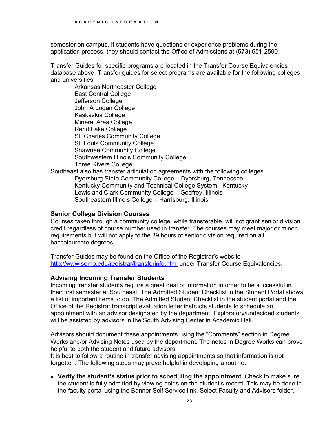semester on campus. If students have questions or experience problems during the application process, they should contact the Office of Admissions at (573) 651-2590.

Transfer Guides for specific programs are located in the Transfer Course Equivalencies database above. Transfer guides for select programs are available for the following colleges and universities:

Arkansas Northeaster College East Central College Jefferson College John A Logan College Kaskaskia College Mineral Area College Rend Lake College St. Charles Community College St. Louis Community College Shawnee Community College Southwestern Illinois Community College Three Rivers College Southeast also has transfer articulation agreements with the following colleges.

Dyersburg State Community College – Dyersburg, Tennessee Kentucky Community and Technical College System –Kentucky Lewis and Clark Community College – Godfrey, Illinois Southeastern Illinois College – Harrisburg, Illinois

### **Senior College Division Courses**

Courses taken through a community college, while transferable, will not grant senior division credit regardless of course number used in transfer. The courses may meet major or minor requirements but will not apply to the 39 hours of senior division required on all baccalaureate degrees.

Transfer Guides may be found on the Office of the Registrar's website <http://www.semo.edu/registrar/transferinfo.html> under Transfer Course Equivalencies.

### **Advising Incoming Transfer Students**

Incoming transfer students require a great deal of information in order to be successful in their first semester at Southeast. The Admitted Student Checklist in the Student Portal shows a list of important items to do. The Admitted Student Checklist in the student portal and the Office of the Registrar transcript evaluation letter instructs students to schedule an appointment with an advisor designated by the department. Exploratory/undecided students will be assisted by advisors in the South Advising Center in Academic Hall.

Advisors should document these appointments using the "Comments" section in Degree Works and/or Advising Notes used by the department. The notes in Degree Works can prove helpful to both the student and future advisors.

It is best to follow a routine in transfer advising appointments so that information is not forgotten. The following steps may prove helpful in developing a routine:

 **Verify the student's status prior to scheduling the appointment.** Check to make sure the student is fully admitted by viewing holds on the student's record. This may be done in the faculty portal using the Banner Self Service link. Select Faculty and Advisors folder,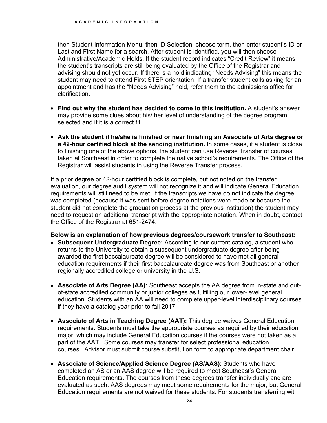clarification. then Student Information Menu, then ID Selection, choose term, then enter student's ID or Last and First Name for a search. After student is identified, you will then choose Administrative/Academic Holds. If the student record indicates "Credit Review" it means the student's transcripts are still being evaluated by the Office of the Registrar and advising should not yet occur. If there is a hold indicating "Needs Advising" this means the student may need to attend First STEP orientation. If a transfer student calls asking for an appointment and has the "Needs Advising" hold, refer them to the admissions office for

- **Find out why the student has decided to come to this institution.** A student's answer may provide some clues about his/ her level of understanding of the degree program selected and if it is a correct fit.
- **Ask the student if he/she is finished or near finishing an Associate of Arts degree or a 42-hour certified block at the sending institution.** In some cases, if a student is close to finishing one of the above options, the student can use Reverse Transfer of courses taken at Southeast in order to complete the native school's requirements. The Office of the Registrar will assist students in using the Reverse Transfer process.

 the Office of the Registrar at 651-2474. If a prior degree or 42-hour certified block is complete, but not noted on the transfer evaluation, our degree audit system will not recognize it and will indicate General Education requirements will still need to be met. If the transcripts we have do not indicate the degree was completed (because it was sent before degree notations were made or because the student did not complete the graduation process at the previous institution) the student may need to request an additional transcript with the appropriate notation. When in doubt, contact

#### **Below is an explanation of how previous degrees/coursework transfer to Southeast:**

- **Subsequent Undergraduate Degree:** According to our current catalog, a student who returns to the University to obtain a subsequent undergraduate degree after being awarded the first baccalaureate degree will be considered to have met all general education requirements if their first baccalaureate degree was from Southeast or another regionally accredited college or university in the U.S.
- **Associate of Arts Degree (AA):** Southeast accepts the AA degree from in-state and outof-state accredited community or junior colleges as fulfilling our lower-level general education. Students with an AA will need to complete upper-level interdisciplinary courses if they have a catalog year prior to fall 2017.
- **Associate of Arts in Teaching Degree (AAT):** This degree waives General Education requirements. Students must take the appropriate courses as required by their education major, which may include General Education courses if the courses were not taken as a part of the AAT. Some courses may transfer for select professional education courses. Advisor must submit course substitution form to appropriate department chair.
- **Associate of Science/Applied Science Degree (AS/AAS)**: Students who have completed an AS or an AAS degree will be required to meet Southeast's General Education requirements. The courses from these degrees transfer individually and are evaluated as such. AAS degrees may meet some requirements for the major, but General Education requirements are not waived for these students. For students transferring with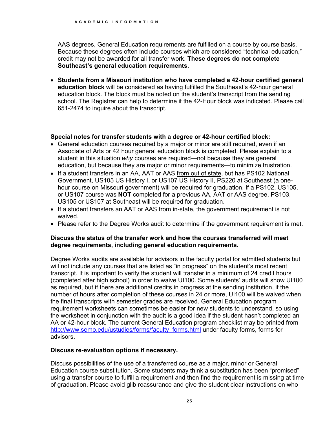AAS degrees, General Education requirements are fulfilled on a course by course basis. Because these degrees often include courses which are considered "technical education," credit may not be awarded for all transfer work. **These degrees do not complete Southeast's general education requirements**.

 **Students from a Missouri institution who have completed a 42-hour certified general education block** will be considered as having fulfilled the Southeast's 42-hour general education block. The block must be noted on the student's transcript from the sending school. The Registrar can help to determine if the 42-Hour block was indicated. Please call 651-2474 to inquire about the transcript.

### **Special notes for transfer students with a degree or 42-hour certified block:**

- General education courses required by a major or minor are still required, even if an Associate of Arts or 42 hour general education block is completed. Please explain to a student in this situation *why* courses are required—not because they are general education, but because they are major or minor requirements—to minimize frustration.
- If a student transfers in an AA, AAT or AAS from out of state, but has PS102 National Government, US105 US History I, or US107 US History II, PS220 at Southeast (a onehour course on Missouri government) will be required for graduation. If a PS102, US105, or US107 course was **NOT** completed for a previous AA, AAT or AAS degree, PS103, US105 or US107 at Southeast will be required for graduation.
- If a student transfers an AAT or AAS from in-state, the government requirement is not waived.
- Please refer to the Degree Works audit to determine if the government requirement is met.

#### **Discuss the status of the transfer work and how the courses transferred will meet degree requirements, including general education requirements.**

 transcript. It is important to verify the student will transfer in a minimum of 24 credit hours Degree Works audits are available for advisors in the faculty portal for admitted students but will not include any courses that are listed as "in progress" on the student's most recent (completed after high school) in order to waive UI100. Some students' audits will show UI100 as required, but if there are additional credits in progress at the sending institution, if the number of hours after completion of these courses in 24 or more, UI100 will be waived when the final transcripts with semester grades are received. General Education program requirement worksheets can sometimes be easier for new students to understand, so using the worksheet in conjunction with the audit is a good idea if the student hasn't completed an AA or 42-hour block. The current General Education program checklist may be printed from [http://www.semo.edu/ustudies/forms/faculty\\_forms.html](http://www.semo.edu/ustudies/forms/faculty_forms.html) under faculty forms, forms for advisors.

#### **Discuss re-evaluation options if necessary.**

Discuss possibilities of the use of a transferred course as a major, minor or General Education course substitution. Some students may think a substitution has been "promised" using a transfer course to fulfill a requirement and then find the requirement is missing at time of graduation. Please avoid glib reassurance and give the student clear instructions on who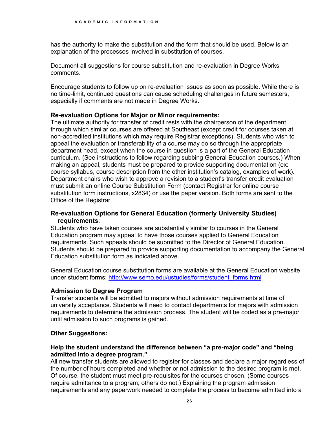has the authority to make the substitution and the form that should be used. Below is an explanation of the processes involved in substitution of courses.

Document all suggestions for course substitution and re-evaluation in Degree Works comments.

Encourage students to follow up on re-evaluation issues as soon as possible. While there is no time-limit, continued questions can cause scheduling challenges in future semesters, especially if comments are not made in Degree Works.

### **Re-evaluation Options for Major or Minor requirements:**

The ultimate authority for transfer of credit rests with the chairperson of the department through which similar courses are offered at Southeast (except credit for courses taken at non-accredited institutions which may require Registrar exceptions). Students who wish to appeal the evaluation or transferability of a course may do so through the appropriate department head, except when the course in question is a part of the General Education curriculum. (See instructions to follow regarding subbing General Education courses.) When making an appeal, students must be prepared to provide supporting documentation (ex: course syllabus, course description from the other institution's catalog, examples of work). Department chairs who wish to approve a revision to a student's transfer credit evaluation must submit an online Course Substitution Form (contact Registrar for online course substitution form instructions, x2834) or use the paper version. Both forms are sent to the Office of the Registrar.

### **Re-evaluation Options for General Education (formerly University Studies) requirements**:

Students who have taken courses are substantially similar to courses in the General Education program may appeal to have those courses applied to General Education requirements. Such appeals should be submitted to the Director of General Education. Students should be prepared to provide supporting documentation to accompany the General Education substitution form as indicated above.

General Education course substitution forms are available at the General Education website under student forms: [http://www.semo.edu/ustudies/forms/student\\_forms.html](http://www.semo.edu/ustudies/forms/student_forms.html)

### **Admission to Degree Program**

 until admission to such programs is gained. Transfer students will be admitted to majors without admission requirements at time of university acceptance. Students will need to contact departments for majors with admission requirements to determine the admission process. The student will be coded as a pre-major

### **Other Suggestions:**

#### **Help the student understand the difference between "a pre-major code" and "being admitted into a degree program."**

All new transfer students are allowed to register for classes and declare a major regardless of the number of hours completed and whether or not admission to the desired program is met. Of course, the student must meet pre-requisites for the courses chosen. (Some courses require admittance to a program, others do not.) Explaining the program admission requirements and any paperwork needed to complete the process to become admitted into a